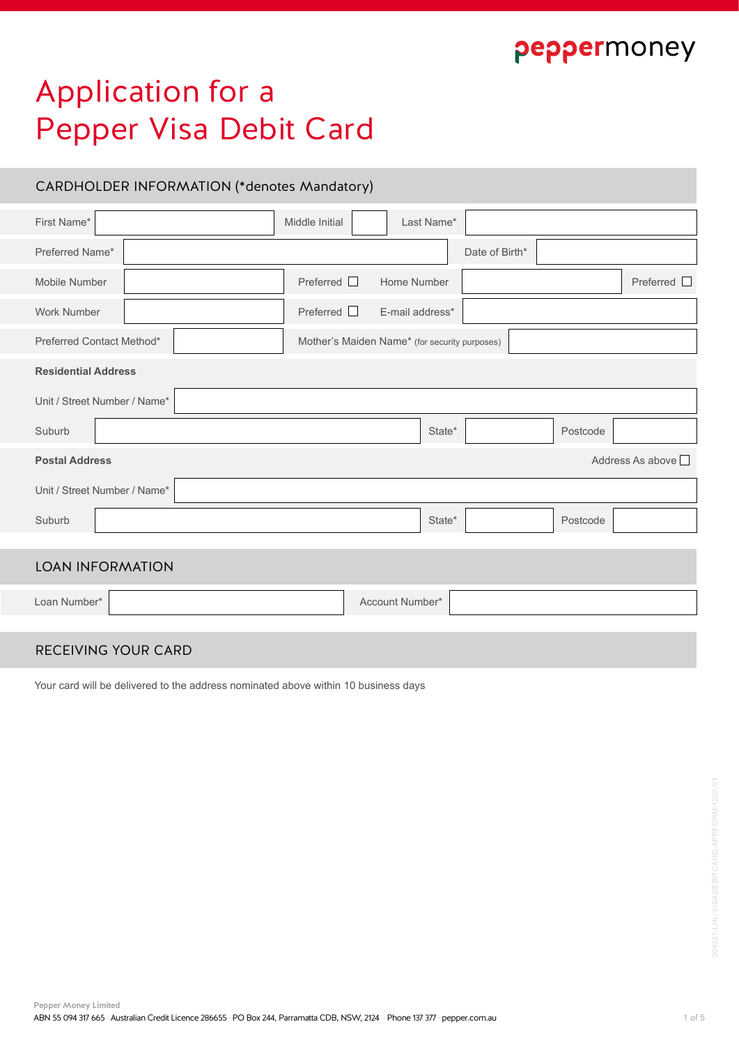## peppermoney

# Application for a Pepper Visa Debit Card

## CARDHOLDER INFORMATION (\*denotes Mandatory)

| First Name*                  | Middle Initial   | Last Name*                                    |                |          |                  |
|------------------------------|------------------|-----------------------------------------------|----------------|----------|------------------|
| Preferred Name*              |                  |                                               | Date of Birth* |          |                  |
| Mobile Number                | Preferred $\Box$ | Home Number                                   |                |          | Preferred $\Box$ |
| Work Number                  | Preferred        | E-mail address*                               |                |          |                  |
| Preferred Contact Method*    |                  | Mother's Maiden Name* (for security purposes) |                |          |                  |
| <b>Residential Address</b>   |                  |                                               |                |          |                  |
| Unit / Street Number / Name* |                  |                                               |                |          |                  |
| Suburb                       |                  | State*                                        |                | Postcode |                  |
| <b>Postal Address</b>        |                  |                                               |                |          | Address As above |
| Unit / Street Number / Name* |                  |                                               |                |          |                  |
| Suburb                       |                  | State*                                        |                | Postcode |                  |
|                              |                  |                                               |                |          |                  |
| <b>LOAN INFORMATION</b>      |                  |                                               |                |          |                  |
| Loan Number*                 |                  | Account Number*                               |                |          |                  |
|                              |                  |                                               |                |          |                  |
|                              |                  |                                               |                |          |                  |

## RECEIVING YOUR CARD

Your card will be delivered to the address nominated above within 10 business days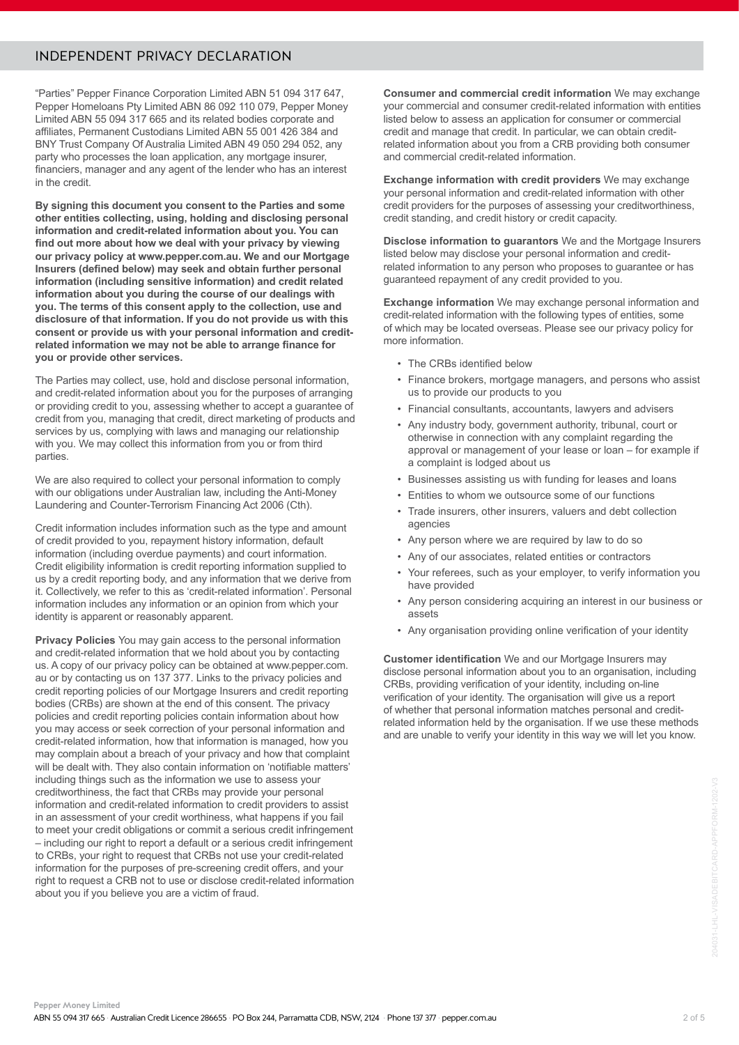### INDEPENDENT PRIVACY DECLARATION

"Parties" Pepper Finance Corporation Limited ABN 51 094 317 647, Pepper Homeloans Pty Limited ABN 86 092 110 079, Pepper Money Limited ABN 55 094 317 665 and its related bodies corporate and affiliates, Permanent Custodians Limited ABN 55 001 426 384 and BNY Trust Company Of Australia Limited ABN 49 050 294 052, any party who processes the loan application, any mortgage insurer, financiers, manager and any agent of the lender who has an interest in the credit.

**By signing this document you consent to the Parties and some other entities collecting, using, holding and disclosing personal information and credit-related information about you. You can find out more about how we deal with your privacy by viewing our privacy policy at www.pepper.com.au. We and our Mortgage Insurers (defined below) may seek and obtain further personal information (including sensitive information) and credit related information about you during the course of our dealings with you. The terms of this consent apply to the collection, use and disclosure of that information. If you do not provide us with this consent or provide us with your personal information and creditrelated information we may not be able to arrange finance for you or provide other services.**

The Parties may collect, use, hold and disclose personal information, and credit-related information about you for the purposes of arranging or providing credit to you, assessing whether to accept a guarantee of credit from you, managing that credit, direct marketing of products and services by us, complying with laws and managing our relationship with you. We may collect this information from you or from third parties.

We are also required to collect your personal information to comply with our obligations under Australian law, including the Anti-Money Laundering and Counter-Terrorism Financing Act 2006 (Cth).

Credit information includes information such as the type and amount of credit provided to you, repayment history information, default information (including overdue payments) and court information. Credit eligibility information is credit reporting information supplied to us by a credit reporting body, and any information that we derive from it. Collectively, we refer to this as 'credit-related information'. Personal information includes any information or an opinion from which your identity is apparent or reasonably apparent.

**Privacy Policies** You may gain access to the personal information and credit-related information that we hold about you by contacting us. A copy of our privacy policy can be obtained at www.pepper.com. au or by contacting us on 137 377. Links to the privacy policies and credit reporting policies of our Mortgage Insurers and credit reporting bodies (CRBs) are shown at the end of this consent. The privacy policies and credit reporting policies contain information about how you may access or seek correction of your personal information and credit-related information, how that information is managed, how you may complain about a breach of your privacy and how that complaint will be dealt with. They also contain information on 'notifiable matters' including things such as the information we use to assess your creditworthiness, the fact that CRBs may provide your personal information and credit-related information to credit providers to assist in an assessment of your credit worthiness, what happens if you fail to meet your credit obligations or commit a serious credit infringement – including our right to report a default or a serious credit infringement to CRBs, your right to request that CRBs not use your credit-related information for the purposes of pre-screening credit offers, and your right to request a CRB not to use or disclose credit-related information about you if you believe you are a victim of fraud.

**Consumer and commercial credit information** We may exchange your commercial and consumer credit-related information with entities listed below to assess an application for consumer or commercial credit and manage that credit. In particular, we can obtain creditrelated information about you from a CRB providing both consumer and commercial credit-related information.

**Exchange information with credit providers** We may exchange your personal information and credit-related information with other credit providers for the purposes of assessing your creditworthiness, credit standing, and credit history or credit capacity.

**Disclose information to quarantors** We and the Mortgage Insurers listed below may disclose your personal information and creditrelated information to any person who proposes to guarantee or has guaranteed repayment of any credit provided to you.

**Exchange information** We may exchange personal information and credit-related information with the following types of entities, some of which may be located overseas. Please see our privacy policy for more information.

- The CRBs identified below
- Finance brokers, mortgage managers, and persons who assist us to provide our products to you
- Financial consultants, accountants, lawyers and advisers
- Any industry body, government authority, tribunal, court or otherwise in connection with any complaint regarding the approval or management of your lease or loan – for example if a complaint is lodged about us
- Businesses assisting us with funding for leases and loans
- Entities to whom we outsource some of our functions
- Trade insurers, other insurers, valuers and debt collection agencies
- Any person where we are required by law to do so
- Any of our associates, related entities or contractors
- Your referees, such as your employer, to verify information you have provided
- Any person considering acquiring an interest in our business or assets
- Any organisation providing online verification of your identity

**Customer identification** We and our Mortgage Insurers may disclose personal information about you to an organisation, including CRBs, providing verification of your identity, including on-line verification of your identity. The organisation will give us a report of whether that personal information matches personal and creditrelated information held by the organisation. If we use these methods and are unable to verify your identity in this way we will let you know.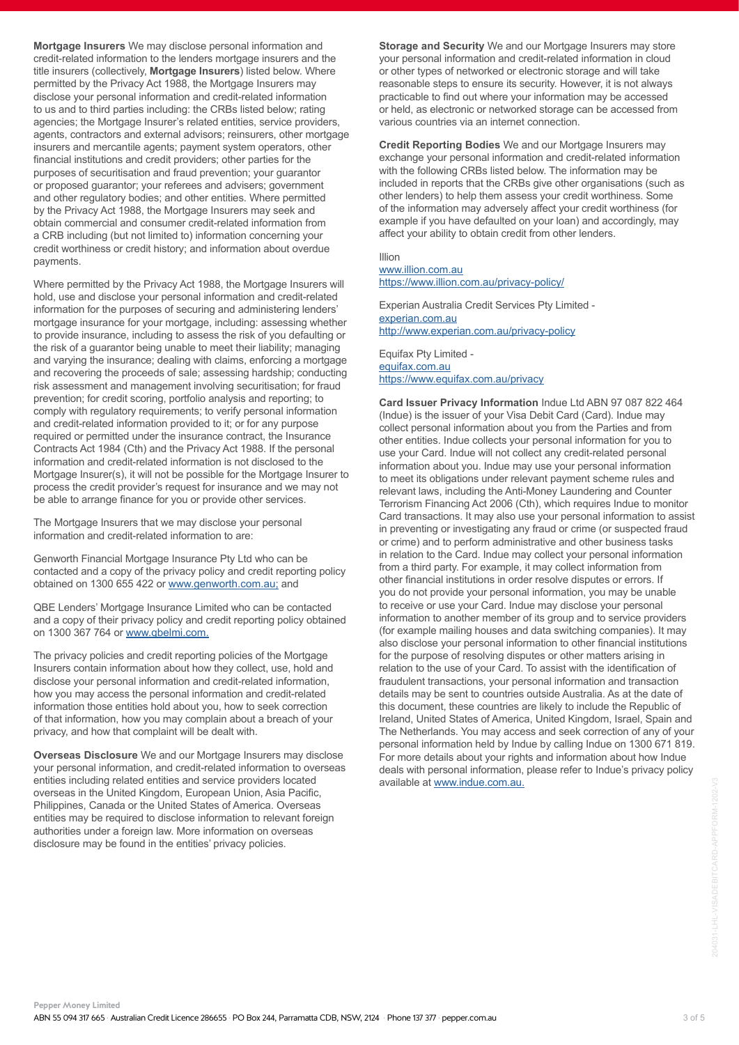**Pepper Money Limited** ABN 55 094 317 665 · Australian Credit Licence 286655 · PO Box 244, Parramatta CDB, NSW, 2124 · Phone 137 377 · pepper.com.au

**Mortgage Insurers** We may disclose personal information and credit-related information to the lenders mortgage insurers and the title insurers (collectively, **Mortgage Insurers**) listed below. Where permitted by the Privacy Act 1988, the Mortgage Insurers may disclose your personal information and credit-related information to us and to third parties including: the CRBs listed below; rating agencies; the Mortgage Insurer's related entities, service providers, agents, contractors and external advisors; reinsurers, other mortgage insurers and mercantile agents; payment system operators, other financial institutions and credit providers; other parties for the purposes of securitisation and fraud prevention; your guarantor or proposed guarantor; your referees and advisers; government and other regulatory bodies; and other entities. Where permitted by the Privacy Act 1988, the Mortgage Insurers may seek and obtain commercial and consumer credit-related information from a CRB including (but not limited to) information concerning your credit worthiness or credit history; and information about overdue payments.

Where permitted by the Privacy Act 1988, the Mortgage Insurers will hold, use and disclose your personal information and credit-related information for the purposes of securing and administering lenders' mortgage insurance for your mortgage, including: assessing whether to provide insurance, including to assess the risk of you defaulting or the risk of a guarantor being unable to meet their liability; managing and varying the insurance; dealing with claims, enforcing a mortgage and recovering the proceeds of sale; assessing hardship; conducting risk assessment and management involving securitisation; for fraud prevention; for credit scoring, portfolio analysis and reporting; to comply with regulatory requirements; to verify personal information and credit-related information provided to it; or for any purpose required or permitted under the insurance contract, the Insurance Contracts Act 1984 (Cth) and the Privacy Act 1988. If the personal information and credit-related information is not disclosed to the Mortgage Insurer(s), it will not be possible for the Mortgage Insurer to process the credit provider's request for insurance and we may not be able to arrange finance for you or provide other services.

The Mortgage Insurers that we may disclose your personal information and credit-related information to are:

Genworth Financial Mortgage Insurance Pty Ltd who can be contacted and a copy of the privacy policy and credit reporting policy obtained on 1300 655 422 or www.genworth.com.au; and

QBE Lenders' Mortgage Insurance Limited who can be contacted and a copy of their privacy policy and credit reporting policy obtained on 1300 367 764 or www.qbelmi.com.

The privacy policies and credit reporting policies of the Mortgage Insurers contain information about how they collect, use, hold and disclose your personal information and credit-related information, how you may access the personal information and credit-related information those entities hold about you, how to seek correction of that information, how you may complain about a breach of your privacy, and how that complaint will be dealt with.

**Overseas Disclosure** We and our Mortgage Insurers may disclose your personal information, and credit-related information to overseas entities including related entities and service providers located overseas in the United Kingdom, European Union, Asia Pacific, Philippines, Canada or the United States of America. Overseas entities may be required to disclose information to relevant foreign authorities under a foreign law. More information on overseas disclosure may be found in the entities' privacy policies.

**Storage and Security** We and our Mortgage Insurers may store your personal information and credit-related information in cloud or other types of networked or electronic storage and will take reasonable steps to ensure its security. However, it is not always practicable to find out where your information may be accessed or held, as electronic or networked storage can be accessed from various countries via an internet connection.

**Credit Reporting Bodies** We and our Mortgage Insurers may exchange your personal information and credit-related information with the following CRBs listed below. The information may be included in reports that the CRBs give other organisations (such as other lenders) to help them assess your credit worthiness. Some of the information may adversely affect your credit worthiness (for example if you have defaulted on your loan) and accordingly, may affect your ability to obtain credit from other lenders.

#### Illion www.illion.com.au https://www.illion.com.au/privacy-policy/

Experian Australia Credit Services Pty Limited experian.com.au http://www.experian.com.au/privacy-policy

Equifax Pty Limited equifax.com.au https://www.equifax.com.au/privacy

**Card Issuer Privacy Information** Indue Ltd ABN 97 087 822 464 (Indue) is the issuer of your Visa Debit Card (Card). Indue may collect personal information about you from the Parties and from other entities. Indue collects your personal information for you to use your Card. Indue will not collect any credit-related personal information about you. Indue may use your personal information to meet its obligations under relevant payment scheme rules and relevant laws, including the Anti-Money Laundering and Counter Terrorism Financing Act 2006 (Cth), which requires Indue to monitor Card transactions. It may also use your personal information to assist in preventing or investigating any fraud or crime (or suspected fraud or crime) and to perform administrative and other business tasks in relation to the Card. Indue may collect your personal information from a third party. For example, it may collect information from other financial institutions in order resolve disputes or errors. If you do not provide your personal information, you may be unable to receive or use your Card. Indue may disclose your personal information to another member of its group and to service providers (for example mailing houses and data switching companies). It may also disclose your personal information to other financial institutions for the purpose of resolving disputes or other matters arising in relation to the use of your Card. To assist with the identification of fraudulent transactions, your personal information and transaction details may be sent to countries outside Australia. As at the date of this document, these countries are likely to include the Republic of Ireland, United States of America, United Kingdom, Israel, Spain and The Netherlands. You may access and seek correction of any of your personal information held by Indue by calling Indue on 1300 671 819. For more details about your rights and information about how Indue deals with personal information, please refer to Indue's privacy policy available at www.indue.com.au.